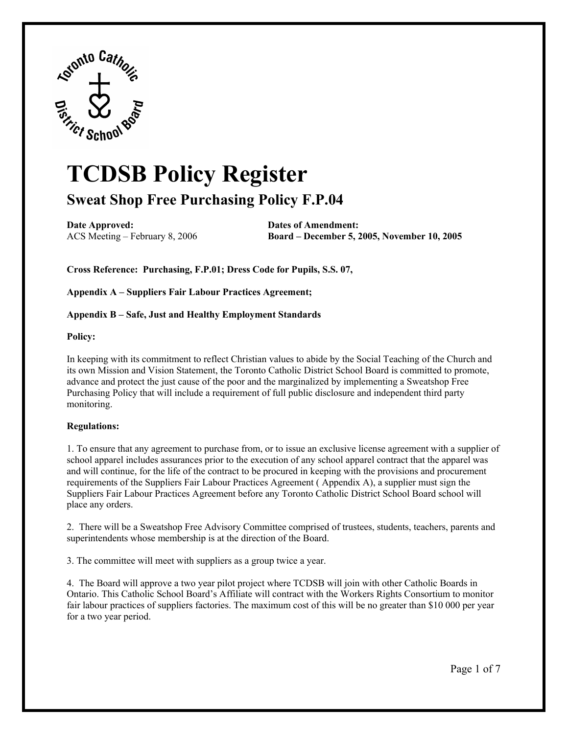

# **TCDSB Policy Register Sweat Shop Free Purchasing Policy F.P.04**

**Date Approved:** Dates of Amendment:

ACS Meeting – February 8, 2006 **Board – December 5, 2005, November 10, 2005** 

 **Cross Reference: Purchasing, F.P.01; Dress Code for Pupils, S.S. 07,** 

**Appendix A – Suppliers Fair Labour Practices Agreement;** 

#### **Appendix B – Safe, Just and Healthy Employment Standards**

#### **Policy:**

In keeping with its commitment to reflect Christian values to abide by the Social Teaching of the Church and its own Mission and Vision Statement, the Toronto Catholic District School Board is committed to promote, advance and protect the just cause of the poor and the marginalized by implementing a Sweatshop Free Purchasing Policy that will include a requirement of full public disclosure and independent third party monitoring.

#### **Regulations:**

 school apparel includes assurances prior to the execution of any school apparel contract that the apparel was Suppliers Fair Labour Practices Agreement before any Toronto Catholic District School Board school will 1. To ensure that any agreement to purchase from, or to issue an exclusive license agreement with a supplier of and will continue, for the life of the contract to be procured in keeping with the provisions and procurement requirements of the Suppliers Fair Labour Practices Agreement ( Appendix A), a supplier must sign the place any orders.

 superintendents whose membership is at the direction of the Board. 2. There will be a Sweatshop Free Advisory Committee comprised of trustees, students, teachers, parents and

3. The committee will meet with suppliers as a group twice a year.

4. The Board will approve a two year pilot project where TCDSB will join with other Catholic Boards in Ontario. This Catholic School Board's Affiliate will contract with the Workers Rights Consortium to monitor fair labour practices of suppliers factories. The maximum cost of this will be no greater than \$10 000 per year for a two year period.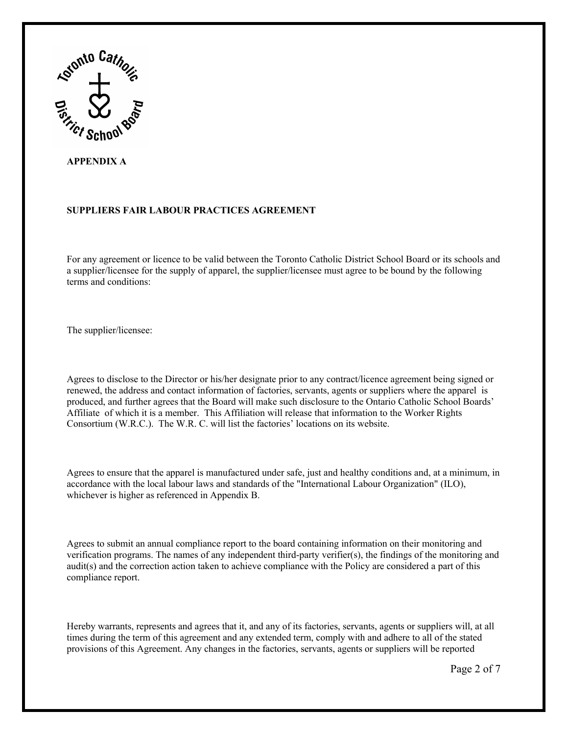

# **APPENDIX A**

# **SUPPLIERS FAIR LABOUR PRACTICES AGREEMENT**

For any agreement or licence to be valid between the Toronto Catholic District School Board or its schools and a supplier/licensee for the supply of apparel, the supplier/licensee must agree to be bound by the following terms and conditions:

The supplier/licensee:

 renewed, the address and contact information of factories, servants, agents or suppliers where the apparel is produced, and further agrees that the Board will make such disclosure to the Ontario Catholic School Boards' Affiliate of which it is a member. This Affiliation will release that information to the Worker Rights Consortium (W.R.C.). The W.R. C. will list the factories' locations on its website. Agrees to disclose to the Director or his/her designate prior to any contract/licence agreement being signed or

Agrees to ensure that the apparel is manufactured under safe, just and healthy conditions and, at a minimum, in accordance with the local labour laws and standards of the "International Labour Organization" (ILO), whichever is higher as referenced in Appendix B.

Agrees to submit an annual compliance report to the board containing information on their monitoring and verification programs. The names of any independent third-party verifier(s), the findings of the monitoring and audit(s) and the correction action taken to achieve compliance with the Policy are considered a part of this compliance report.

Hereby warrants, represents and agrees that it, and any of its factories, servants, agents or suppliers will, at all times during the term of this agreement and any extended term, comply with and adhere to all of the stated provisions of this Agreement. Any changes in the factories, servants, agents or suppliers will be reported

Page 2 of 7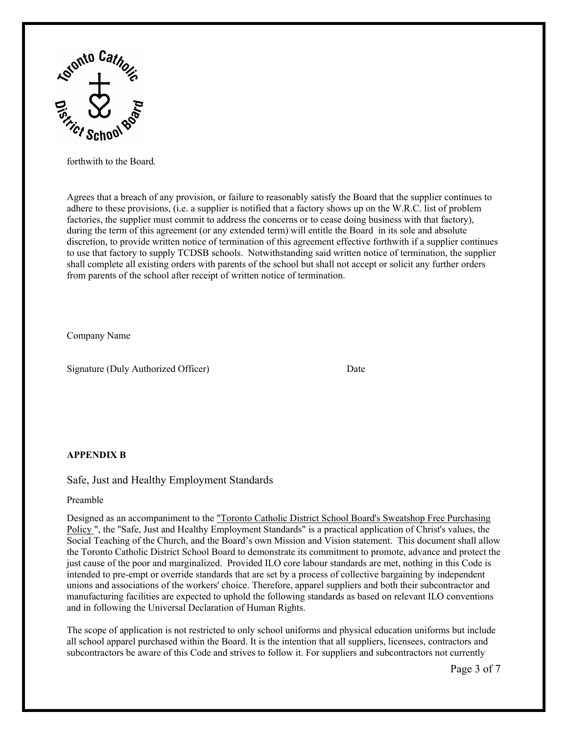

forthwith to the Board*.* 

Agrees that a breach of any provision, or failure to reasonably satisfy the Board that the supplier continues to adhere to these provisions, (i.e. a supplier is notified that a factory shows up on the W.R.C. list of problem factories, the supplier must commit to address the concerns or to cease doing business with that factory), during the term of this agreement (or any extended term) will entitle the Board in its sole and absolute discretion, to provide written notice of termination of this agreement effective forthwith if a supplier continues to use that factory to supply TCDSB schools. Notwithstanding said written notice of termination, the supplier shall complete all existing orders with parents of the school but shall not accept or solicit any further orders from parents of the school after receipt of written notice of termination.

Company Name

Signature (Duly Authorized Officer) Date

#### **APPENDIX B**

Safe, Just and Healthy Employment Standards

Preamble

Designed as an accompaniment to the "Toronto Catholic District School Board's Sweatshop Free Purchasing Policy ", the "Safe, Just and Healthy Employment Standards" is a practical application of Christ's values, the Social Teaching of the Church, and the Board's own Mission and Vision statement. This document shall allow the Toronto Catholic District School Board to demonstrate its commitment to promote, advance and protect the just cause of the poor and marginalized. Provided ILO core labour standards are met, nothing in this Code is intended to pre-empt or override standards that are set by a process of collective bargaining by independent unions and associations of the workers' choice. Therefore, apparel suppliers and both their subcontractor and manufacturing facilities are expected to uphold the following standards as based on relevant ILO conventions and in following the Universal Declaration of Human Rights.

The scope of application is not restricted to only school uniforms and physical education uniforms but include all school apparel purchased within the Board. It is the intention that all suppliers, licensees, contractors and subcontractors be aware of this Code and strives to follow it. For suppliers and subcontractors not currently

Page 3 of 7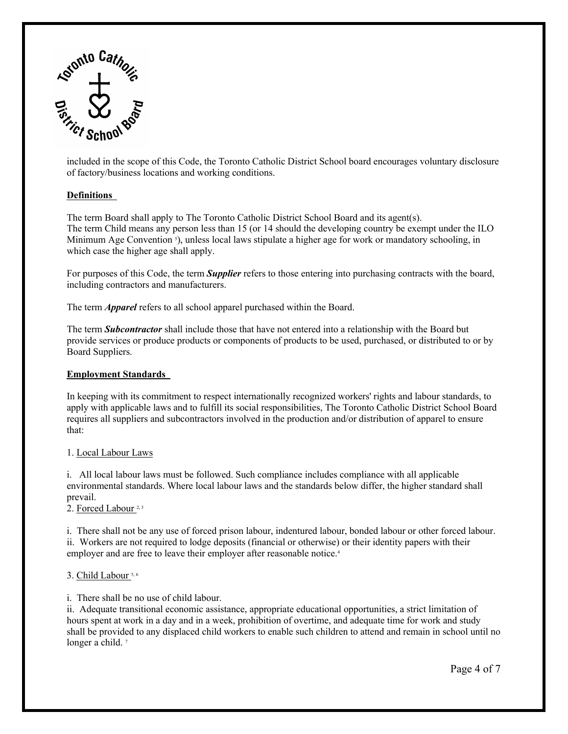

included in the scope of this Code, the Toronto Catholic District School board encourages voluntary disclosure of factory/business locations and working conditions.

# **Definitions**

The term Board shall apply to The Toronto Catholic District School Board and its agent(s). The term Child means any person less than 15 (or 14 should the developing country be exempt under the ILO Minimum Age Convention <sup>5</sup>), unless local laws stipulate a higher age for work or mandatory schooling, in which case the higher age shall apply.

For purposes of this Code, the term *Supplier* refers to those entering into purchasing contracts with the board, including contractors and manufacturers.

The term *Apparel* refers to all school apparel purchased within the Board.

 provide services or produce products or components of products to be used, purchased, or distributed to or by Board Suppliers. The term *Subcontractor* shall include those that have not entered into a relationship with the Board but

#### **Employment Standards**

that: In keeping with its commitment to respect internationally recognized workers' rights and labour standards, to apply with applicable laws and to fulfill its social responsibilities, The Toronto Catholic District School Board requires all suppliers and subcontractors involved in the production and/or distribution of apparel to ensure

#### 1. Local Labour Laws

 i. All local labour laws must be followed. Such compliance includes compliance with all applicable environmental standards. Where local labour laws and the standards below differ, the higher standard shall prevail.

2. Forced Labour<sup>2,3</sup>

 ii. Workers are not required to lodge deposits (financial or otherwise) or their identity papers with their employer and are free to leave their employer after reasonable notice. 4 i. There shall not be any use of forced prison labour, indentured labour, bonded labour or other forced labour.

#### 3. Child Labour 5, 6

i. There shall be no use of child labour.

 ii. Adequate transitional economic assistance, appropriate educational opportunities, a strict limitation of hours spent at work in a day and in a week, prohibition of overtime, and adequate time for work and study shall be provided to any displaced child workers to enable such children to attend and remain in school until no longer a child.<sup>7</sup>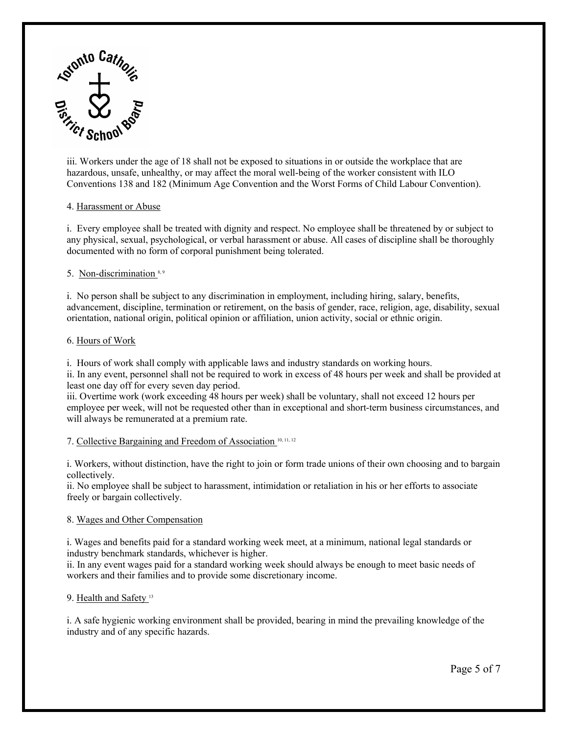

iii. Workers under the age of 18 shall not be exposed to situations in or outside the workplace that are hazardous, unsafe, unhealthy, or may affect the moral well-being of the worker consistent with ILO Conventions 138 and 182 (Minimum Age Convention and the Worst Forms of Child Labour Convention).

#### 4. Harassment or Abuse

i. Every employee shall be treated with dignity and respect. No employee shall be threatened by or subject to any physical, sexual, psychological, or verbal harassment or abuse. All cases of discipline shall be thoroughly documented with no form of corporal punishment being tolerated.

# 5. Non-discrimination<sup>8,9</sup>

i. No person shall be subject to any discrimination in employment, including hiring, salary, benefits, advancement, discipline, termination or retirement, on the basis of gender, race, religion, age, disability, sexual orientation, national origin, political opinion or affiliation, union activity, social or ethnic origin.

#### 6. Hours of Work

i. Hours of work shall comply with applicable laws and industry standards on working hours.

 ii. In any event, personnel shall not be required to work in excess of 48 hours per week and shall be provided at least one day off for every seven day period.

 iii. Overtime work (work exceeding 48 hours per week) shall be voluntary, shall not exceed 12 hours per will always be remunerated at a premium rate. employee per week, will not be requested other than in exceptional and short-term business circumstances, and

7. Collective Bargaining and Freedom of Association <sup>10, 11, 12</sup>

i. Workers, without distinction, have the right to join or form trade unions of their own choosing and to bargain collectively.

freely or bargain collectively. ii. No employee shall be subject to harassment, intimidation or retaliation in his or her efforts to associate

# 8. Wages and Other Compensation

i. Wages and benefits paid for a standard working week meet, at a minimum, national legal standards or industry benchmark standards, whichever is higher.

 ii. In any event wages paid for a standard working week should always be enough to meet basic needs of workers and their families and to provide some discretionary income.<br>9. <u>Health and Safety 13</u>

# 9. Health and Safety<sup>13</sup>

i. A safe hygienic working environment shall be provided, bearing in mind the prevailing knowledge of the industry and of any specific hazards.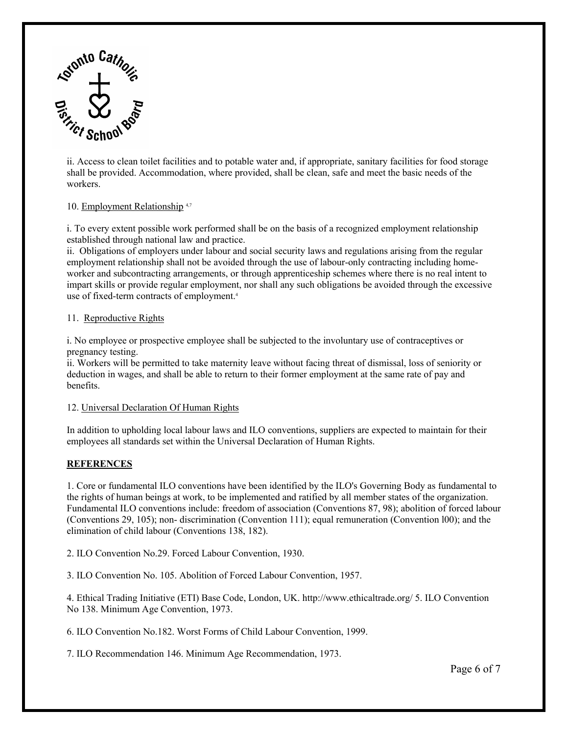

workers. ii. Access to clean toilet facilities and to potable water and, if appropriate, sanitary facilities for food storage shall be provided. Accommodation, where provided, shall be clean, safe and meet the basic needs of the

# workers.<br>10. <u>Employment Relationship 4,</u>7

i. To every extent possible work performed shall be on the basis of a recognized employment relationship established through national law and practice.

 use of fixed-term contracts of employment. 4 ii. Obligations of employers under labour and social security laws and regulations arising from the regular employment relationship shall not be avoided through the use of labour-only contracting including homeworker and subcontracting arrangements, or through apprenticeship schemes where there is no real intent to impart skills or provide regular employment, nor shall any such obligations be avoided through the excessive

#### 11. Reproductive Rights

i. No employee or prospective employee shall be subjected to the involuntary use of contraceptives or pregnancy testing.

benefits. ii. Workers will be permitted to take maternity leave without facing threat of dismissal, loss of seniority or deduction in wages, and shall be able to return to their former employment at the same rate of pay and

# 12. Universal Declaration Of Human Rights

 employees all standards set within the Universal Declaration of Human Rights. In addition to upholding local labour laws and ILO conventions, suppliers are expected to maintain for their

#### **REFERENCES**

1. Core or fundamental ILO conventions have been identified by the ILO's Governing Body as fundamental to the rights of human beings at work, to be implemented and ratified by all member states of the organization. Fundamental ILO conventions include: freedom of association (Conventions 87, 98); abolition of forced labour (Conventions 29, 105); non- discrimination (Convention 111); equal remuneration (Convention l00); and the elimination of child labour (Conventions 138, 182).

2. ILO Convention No.29. Forced Labour Convention, 1930.

3. ILO Convention No. 105. Abolition of Forced Labour Convention, 1957.

 4. Ethical Trading Initiative (ETI) Base Code, London, UK.<http://www.ethicaltrade.org>/ 5. ILO Convention No 138. Minimum Age Convention, 1973.

6. ILO Convention No.182. Worst Forms of Child Labour Convention, 1999.

7. ILO Recommendation 146. Minimum Age Recommendation, 1973.